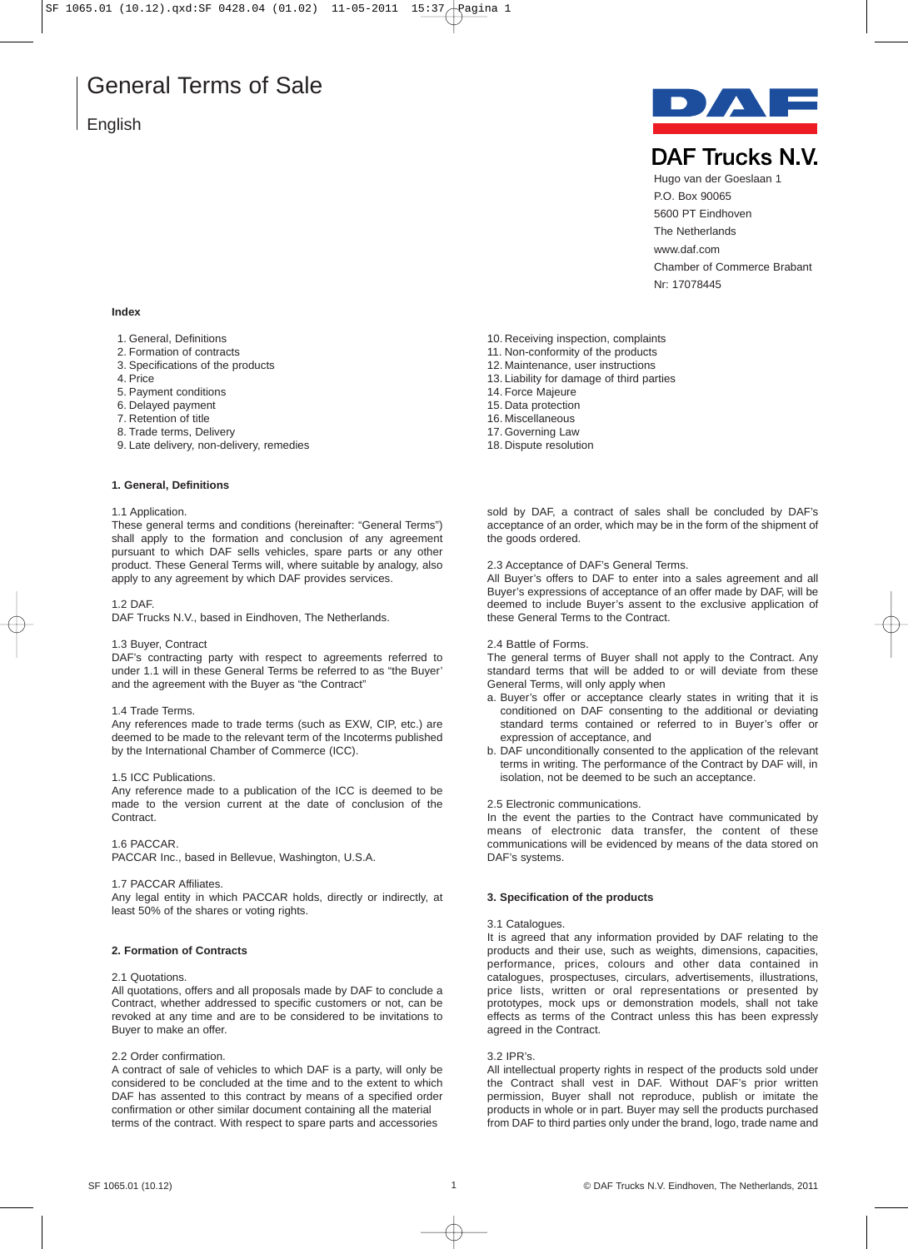# **English**



**DAF Trucks N.V.** 

Hugo van der Goeslaan 1 P.O. Box 90065 5600 PT Eindhoven The Netherlands www.daf.com Chamber of Commerce Brabant Nr: 17078445

# **Index**

- 1. General, Definitions
- 2. Formation of contracts
- 3. Specifications of the products
- 4. Price
- 5. Payment conditions
- 6. Delayed payment
- 7. Retention of title
- 8. Trade terms, Delivery
- 9. Late delivery, non-delivery, remedies

# **1. General, Definitions**

## 1.1 Application.

These general terms and conditions (hereinafter: "General Terms") shall apply to the formation and conclusion of any agreement pursuant to which DAF sells vehicles, spare parts or any other product. These General Terms will, where suitable by analogy, also apply to any agreement by which DAF provides services.

### 1.2 DAF.

DAF Trucks N.V., based in Eindhoven, The Netherlands.

# 1.3 Buyer, Contract

DAF's contracting party with respect to agreements referred to under 1.1 will in these General Terms be referred to as "the Buyer' and the agreement with the Buyer as "the Contract"

# 1.4 Trade Terms.

Any references made to trade terms (such as EXW, CIP, etc.) are deemed to be made to the relevant term of the Incoterms published by the International Chamber of Commerce (ICC).

### 1.5 ICC Publications.

Any reference made to a publication of the ICC is deemed to be made to the version current at the date of conclusion of the Contract.

# 1.6 PACCAR.

PACCAR Inc., based in Bellevue, Washington, U.S.A.

### 1.7 PACCAR Affiliates.

Any legal entity in which PACCAR holds, directly or indirectly, at least 50% of the shares or voting rights.

# **2. Formation of Contracts**

# 2.1 Quotations.

All quotations, offers and all proposals made by DAF to conclude a Contract, whether addressed to specific customers or not, can be revoked at any time and are to be considered to be invitations to Buyer to make an offer.

# 2.2 Order confirmation.

A contract of sale of vehicles to which DAF is a party, will only be considered to be concluded at the time and to the extent to which DAF has assented to this contract by means of a specified order confirmation or other similar document containing all the material terms of the contract. With respect to spare parts and accessories

- 10. Receiving inspection, complaints
- 11. Non-conformity of the products
- 12. Maintenance, user instructions
- 13. Liability for damage of third parties
- 14. Force Majeure
- 15. Data protection
- 16. Miscellaneous
- 17. Governing Law
- 18. Dispute resolution

sold by DAF, a contract of sales shall be concluded by DAF's acceptance of an order, which may be in the form of the shipment of the goods ordered.

2.3 Acceptance of DAF's General Terms.

All Buyer's offers to DAF to enter into a sales agreement and all Buyer's expressions of acceptance of an offer made by DAF, will be deemed to include Buyer's assent to the exclusive application of these General Terms to the Contract.

# 2.4 Battle of Forms.

The general terms of Buyer shall not apply to the Contract. Any standard terms that will be added to or will deviate from these General Terms, will only apply when

- a. Buyer's offer or acceptance clearly states in writing that it is conditioned on DAF consenting to the additional or deviating standard terms contained or referred to in Buyer's offer or expression of acceptance, and
- b. DAF unconditionally consented to the application of the relevant terms in writing. The performance of the Contract by DAF will, in isolation, not be deemed to be such an acceptance.

2.5 Electronic communications.

In the event the parties to the Contract have communicated by means of electronic data transfer, the content of these communications will be evidenced by means of the data stored on DAF's systems.

# **3. Specification of the products**

### 3.1 Catalogues.

It is agreed that any information provided by DAF relating to the products and their use, such as weights, dimensions, capacities, performance, prices, colours and other data contained in catalogues, prospectuses, circulars, advertisements, illustrations, price lists, written or oral representations or presented by prototypes, mock ups or demonstration models, shall not take effects as terms of the Contract unless this has been expressly agreed in the Contract.

# 3.2 IPR's.

All intellectual property rights in respect of the products sold under the Contract shall vest in DAF. Without DAF's prior written permission, Buyer shall not reproduce, publish or imitate the products in whole or in part. Buyer may sell the products purchased from DAF to third parties only under the brand, logo, trade name and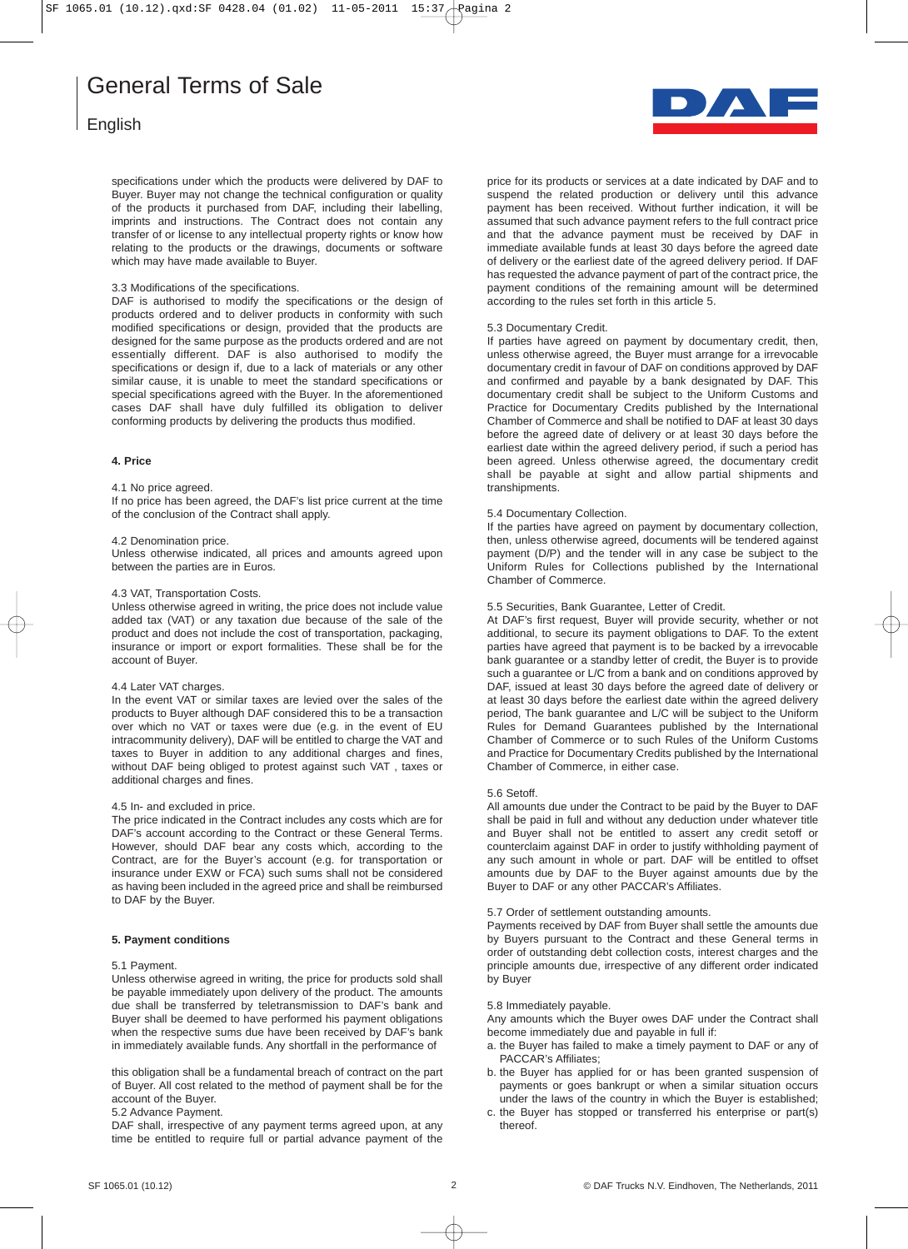# English

specifications under which the products were delivered by DAF to Buyer. Buyer may not change the technical configuration or quality of the products it purchased from DAF, including their labelling, imprints and instructions. The Contract does not contain any transfer of or license to any intellectual property rights or know how relating to the products or the drawings, documents or software which may have made available to Buyer.

# 3.3 Modifications of the specifications.

DAF is authorised to modify the specifications or the design of products ordered and to deliver products in conformity with such modified specifications or design, provided that the products are designed for the same purpose as the products ordered and are not essentially different. DAF is also authorised to modify the specifications or design if, due to a lack of materials or any other similar cause, it is unable to meet the standard specifications or special specifications agreed with the Buyer. In the aforementioned cases DAF shall have duly fulfilled its obligation to deliver conforming products by delivering the products thus modified.

# **4. Price**

# 4.1 No price agreed.

If no price has been agreed, the DAF's list price current at the time of the conclusion of the Contract shall apply.

# 4.2 Denomination price.

Unless otherwise indicated, all prices and amounts agreed upon between the parties are in Euros.

### 4.3 VAT, Transportation Costs.

Unless otherwise agreed in writing, the price does not include value added tax (VAT) or any taxation due because of the sale of the product and does not include the cost of transportation, packaging, insurance or import or export formalities. These shall be for the account of Buyer.

### 4.4 Later VAT charges.

In the event VAT or similar taxes are levied over the sales of the products to Buyer although DAF considered this to be a transaction over which no VAT or taxes were due (e.g. in the event of EU intracommunity delivery), DAF will be entitled to charge the VAT and taxes to Buyer in addition to any additional charges and fines, without DAF being obliged to protest against such VAT , taxes or additional charges and fines.

# 4.5 In- and excluded in price.

The price indicated in the Contract includes any costs which are for DAF's account according to the Contract or these General Terms. However, should DAF bear any costs which, according to the Contract, are for the Buyer's account (e.g. for transportation or insurance under EXW or FCA) such sums shall not be considered as having been included in the agreed price and shall be reimbursed to DAF by the Buyer.

# **5. Payment conditions**

# 5.1 Payment.

Unless otherwise agreed in writing, the price for products sold shall be payable immediately upon delivery of the product. The amounts due shall be transferred by teletransmission to DAF's bank and Buyer shall be deemed to have performed his payment obligations when the respective sums due have been received by DAF's bank in immediately available funds. Any shortfall in the performance of

this obligation shall be a fundamental breach of contract on the part of Buyer. All cost related to the method of payment shall be for the account of the Buyer.

5.2 Advance Payment.

DAF shall, irrespective of any payment terms agreed upon, at any time be entitled to require full or partial advance payment of the



price for its products or services at a date indicated by DAF and to suspend the related production or delivery until this advance payment has been received. Without further indication, it will be assumed that such advance payment refers to the full contract price and that the advance payment must be received by DAF in immediate available funds at least 30 days before the agreed date of delivery or the earliest date of the agreed delivery period. If DAF has requested the advance payment of part of the contract price, the payment conditions of the remaining amount will be determined according to the rules set forth in this article 5.

## 5.3 Documentary Credit.

If parties have agreed on payment by documentary credit, then, unless otherwise agreed, the Buyer must arrange for a irrevocable documentary credit in favour of DAF on conditions approved by DAF and confirmed and payable by a bank designated by DAF. This documentary credit shall be subject to the Uniform Customs and Practice for Documentary Credits published by the International Chamber of Commerce and shall be notified to DAF at least 30 days before the agreed date of delivery or at least 30 days before the earliest date within the agreed delivery period, if such a period has been agreed. Unless otherwise agreed, the documentary credit shall be payable at sight and allow partial shipments and transhipments.

### 5.4 Documentary Collection.

If the parties have agreed on payment by documentary collection, then, unless otherwise agreed, documents will be tendered against payment (D/P) and the tender will in any case be subject to the Uniform Rules for Collections published by the International Chamber of Commerce.

# 5.5 Securities, Bank Guarantee, Letter of Credit.

At DAF's first request, Buyer will provide security, whether or not additional, to secure its payment obligations to DAF. To the extent parties have agreed that payment is to be backed by a irrevocable bank guarantee or a standby letter of credit, the Buyer is to provide such a guarantee or L/C from a bank and on conditions approved by DAF, issued at least 30 days before the agreed date of delivery or at least 30 days before the earliest date within the agreed delivery period, The bank guarantee and L/C will be subject to the Uniform Rules for Demand Guarantees published by the International Chamber of Commerce or to such Rules of the Uniform Customs and Practice for Documentary Credits published by the International Chamber of Commerce, in either case.

### 5.6 Setoff.

All amounts due under the Contract to be paid by the Buyer to DAF shall be paid in full and without any deduction under whatever title and Buyer shall not be entitled to assert any credit setoff or counterclaim against DAF in order to justify withholding payment of any such amount in whole or part. DAF will be entitled to offset amounts due by DAF to the Buyer against amounts due by the Buyer to DAF or any other PACCAR's Affiliates.

# 5.7 Order of settlement outstanding amounts.

Payments received by DAF from Buyer shall settle the amounts due by Buyers pursuant to the Contract and these General terms in order of outstanding debt collection costs, interest charges and the principle amounts due, irrespective of any different order indicated by Buyer

### 5.8 Immediately payable.

Any amounts which the Buyer owes DAF under the Contract shall become immediately due and payable in full if:

- a. the Buyer has failed to make a timely payment to DAF or any of PACCAR's Affiliates;
- b. the Buyer has applied for or has been granted suspension of payments or goes bankrupt or when a similar situation occurs under the laws of the country in which the Buyer is established;
- c. the Buyer has stopped or transferred his enterprise or part(s) thereof.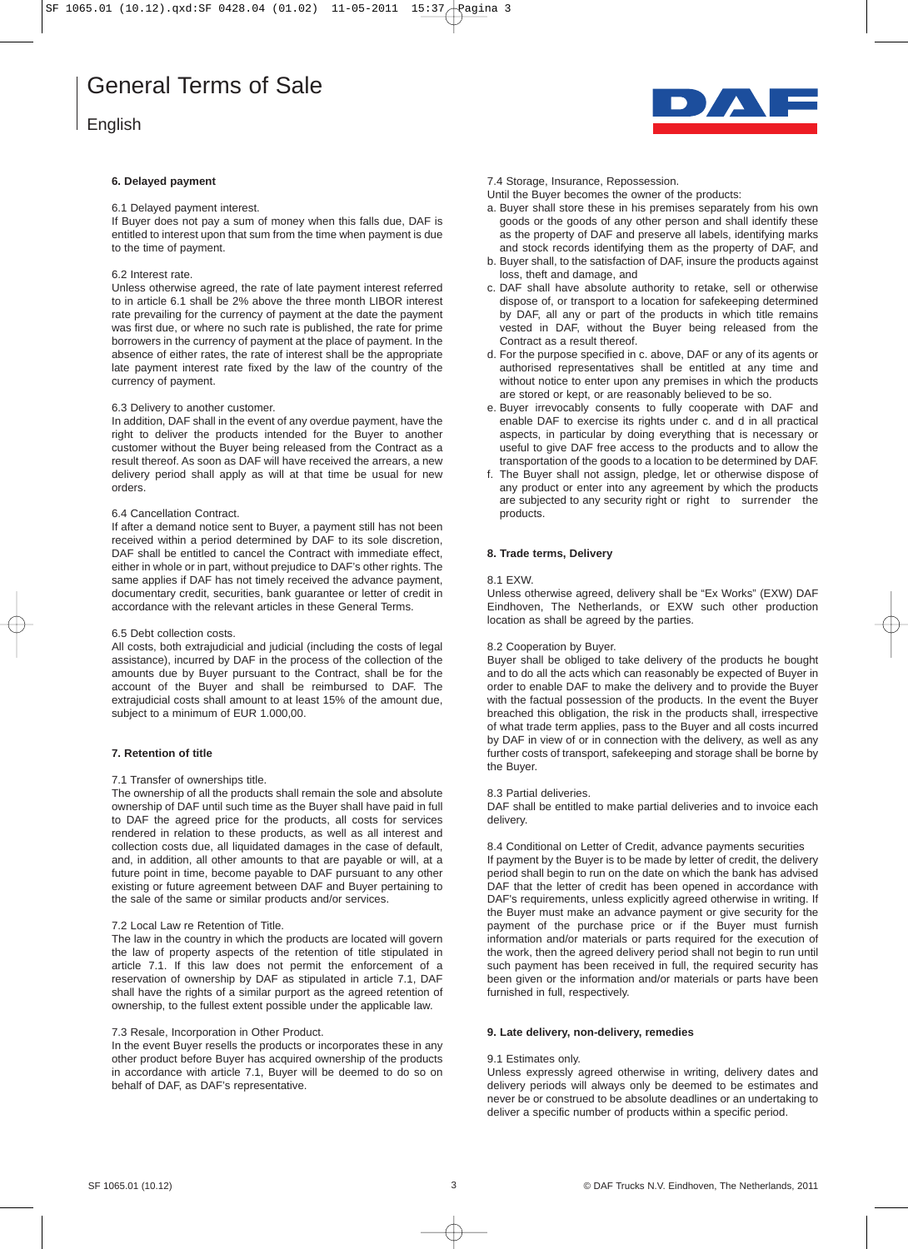# English

# **6. Delayed payment**

## 6.1 Delayed payment interest.

If Buyer does not pay a sum of money when this falls due, DAF is entitled to interest upon that sum from the time when payment is due to the time of payment.

# 6.2 Interest rate.

Unless otherwise agreed, the rate of late payment interest referred to in article 6.1 shall be 2% above the three month LIBOR interest rate prevailing for the currency of payment at the date the payment was first due, or where no such rate is published, the rate for prime borrowers in the currency of payment at the place of payment. In the absence of either rates, the rate of interest shall be the appropriate late payment interest rate fixed by the law of the country of the currency of payment.

### 6.3 Delivery to another customer.

In addition, DAF shall in the event of any overdue payment, have the right to deliver the products intended for the Buyer to another customer without the Buyer being released from the Contract as a result thereof. As soon as DAF will have received the arrears, a new delivery period shall apply as will at that time be usual for new orders.

### 6.4 Cancellation Contract.

If after a demand notice sent to Buyer, a payment still has not been received within a period determined by DAF to its sole discretion, DAF shall be entitled to cancel the Contract with immediate effect, either in whole or in part, without prejudice to DAF's other rights. The same applies if DAF has not timely received the advance payment, documentary credit, securities, bank guarantee or letter of credit in accordance with the relevant articles in these General Terms.

### 6.5 Debt collection costs.

All costs, both extrajudicial and judicial (including the costs of legal assistance), incurred by DAF in the process of the collection of the amounts due by Buyer pursuant to the Contract, shall be for the account of the Buyer and shall be reimbursed to DAF. The extrajudicial costs shall amount to at least 15% of the amount due, subject to a minimum of EUR 1.000,00.

# **7. Retention of title**

### 7.1 Transfer of ownerships title.

The ownership of all the products shall remain the sole and absolute ownership of DAF until such time as the Buyer shall have paid in full to DAF the agreed price for the products, all costs for services rendered in relation to these products, as well as all interest and collection costs due, all liquidated damages in the case of default, and, in addition, all other amounts to that are payable or will, at a future point in time, become payable to DAF pursuant to any other existing or future agreement between DAF and Buyer pertaining to the sale of the same or similar products and/or services.

### 7.2 Local Law re Retention of Title.

The law in the country in which the products are located will govern the law of property aspects of the retention of title stipulated in article 7.1. If this law does not permit the enforcement of a reservation of ownership by DAF as stipulated in article 7.1, DAF shall have the rights of a similar purport as the agreed retention of ownership, to the fullest extent possible under the applicable law.

### 7.3 Resale, Incorporation in Other Product.

In the event Buyer resells the products or incorporates these in any other product before Buyer has acquired ownership of the products in accordance with article 7.1, Buyer will be deemed to do so on behalf of DAF, as DAF's representative.



### 7.4 Storage, Insurance, Repossession.

Until the Buyer becomes the owner of the products:

- a. Buyer shall store these in his premises separately from his own goods or the goods of any other person and shall identify these as the property of DAF and preserve all labels, identifying marks and stock records identifying them as the property of DAF, and
- b. Buyer shall, to the satisfaction of DAF, insure the products against loss, theft and damage, and
- c. DAF shall have absolute authority to retake, sell or otherwise dispose of, or transport to a location for safekeeping determined by DAF, all any or part of the products in which title remains vested in DAF, without the Buyer being released from the Contract as a result thereof.
- d. For the purpose specified in c. above, DAF or any of its agents or authorised representatives shall be entitled at any time and without notice to enter upon any premises in which the products are stored or kept, or are reasonably believed to be so.
- e. Buyer irrevocably consents to fully cooperate with DAF and enable DAF to exercise its rights under c. and d in all practical aspects, in particular by doing everything that is necessary or useful to give DAF free access to the products and to allow the transportation of the goods to a location to be determined by DAF.
- f. The Buyer shall not assign, pledge, let or otherwise dispose of any product or enter into any agreement by which the products are subjected to any security right or right to surrender the products.

### **8. Trade terms, Delivery**

### 8.1 EXW.

Unless otherwise agreed, delivery shall be "Ex Works" (EXW) DAF Eindhoven, The Netherlands, or EXW such other production location as shall be agreed by the parties.

### 8.2 Cooperation by Buyer.

Buyer shall be obliged to take delivery of the products he bought and to do all the acts which can reasonably be expected of Buyer in order to enable DAF to make the delivery and to provide the Buyer with the factual possession of the products. In the event the Buyer breached this obligation, the risk in the products shall, irrespective of what trade term applies, pass to the Buyer and all costs incurred by DAF in view of or in connection with the delivery, as well as any further costs of transport, safekeeping and storage shall be borne by the Buyer.

### 8.3 Partial deliveries.

DAF shall be entitled to make partial deliveries and to invoice each delivery.

8.4 Conditional on Letter of Credit, advance payments securities If payment by the Buyer is to be made by letter of credit, the delivery period shall begin to run on the date on which the bank has advised DAF that the letter of credit has been opened in accordance with DAF's requirements, unless explicitly agreed otherwise in writing. If the Buyer must make an advance payment or give security for the payment of the purchase price or if the Buyer must furnish information and/or materials or parts required for the execution of the work, then the agreed delivery period shall not begin to run until such payment has been received in full, the required security has been given or the information and/or materials or parts have been furnished in full, respectively.

### **9. Late delivery, non-delivery, remedies**

# 9.1 Estimates only.

Unless expressly agreed otherwise in writing, delivery dates and delivery periods will always only be deemed to be estimates and never be or construed to be absolute deadlines or an undertaking to deliver a specific number of products within a specific period.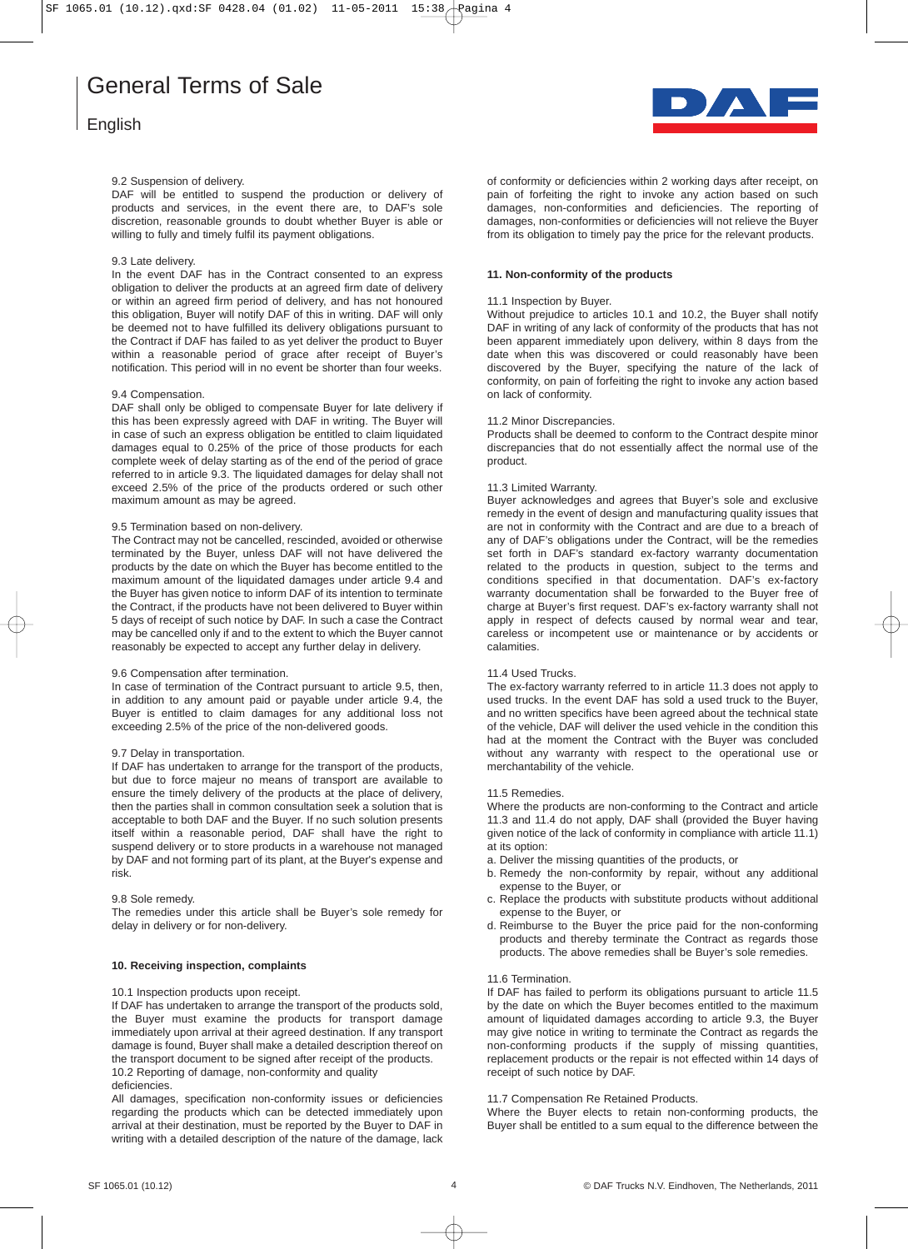# English



### 9.2 Suspension of delivery.

DAF will be entitled to suspend the production or delivery of products and services, in the event there are, to DAF's sole discretion, reasonable grounds to doubt whether Buyer is able or willing to fully and timely fulfil its payment obligations.

### 9.3 Late delivery.

In the event DAF has in the Contract consented to an express obligation to deliver the products at an agreed firm date of delivery or within an agreed firm period of delivery, and has not honoured this obligation, Buyer will notify DAF of this in writing. DAF will only be deemed not to have fulfilled its delivery obligations pursuant to the Contract if DAF has failed to as yet deliver the product to Buyer within a reasonable period of grace after receipt of Buyer's notification. This period will in no event be shorter than four weeks.

### 9.4 Compensation.

DAF shall only be obliged to compensate Buyer for late delivery if this has been expressly agreed with DAF in writing. The Buyer will in case of such an express obligation be entitled to claim liquidated damages equal to 0.25% of the price of those products for each complete week of delay starting as of the end of the period of grace referred to in article 9.3. The liquidated damages for delay shall not exceed 2.5% of the price of the products ordered or such other maximum amount as may be agreed.

# 9.5 Termination based on non-delivery.

The Contract may not be cancelled, rescinded, avoided or otherwise terminated by the Buyer, unless DAF will not have delivered the products by the date on which the Buyer has become entitled to the maximum amount of the liquidated damages under article 9.4 and the Buyer has given notice to inform DAF of its intention to terminate the Contract, if the products have not been delivered to Buyer within 5 days of receipt of such notice by DAF. In such a case the Contract may be cancelled only if and to the extent to which the Buyer cannot reasonably be expected to accept any further delay in delivery.

# 9.6 Compensation after termination.

In case of termination of the Contract pursuant to article 9.5, then, in addition to any amount paid or payable under article 9.4, the Buyer is entitled to claim damages for any additional loss not exceeding 2.5% of the price of the non-delivered goods.

# 9.7 Delay in transportation.

If DAF has undertaken to arrange for the transport of the products, but due to force majeur no means of transport are available to ensure the timely delivery of the products at the place of delivery, then the parties shall in common consultation seek a solution that is acceptable to both DAF and the Buyer. If no such solution presents itself within a reasonable period, DAF shall have the right to suspend delivery or to store products in a warehouse not managed by DAF and not forming part of its plant, at the Buyer's expense and risk.

# 9.8 Sole remedy.

The remedies under this article shall be Buyer's sole remedy for delay in delivery or for non-delivery.

# **10. Receiving inspection, complaints**

### 10.1 Inspection products upon receipt.

If DAF has undertaken to arrange the transport of the products sold, the Buyer must examine the products for transport damage immediately upon arrival at their agreed destination. If any transport damage is found, Buyer shall make a detailed description thereof on the transport document to be signed after receipt of the products. 10.2 Reporting of damage, non-conformity and quality deficiencies.

All damages, specification non-conformity issues or deficiencies regarding the products which can be detected immediately upon arrival at their destination, must be reported by the Buyer to DAF in writing with a detailed description of the nature of the damage, lack of conformity or deficiencies within 2 working days after receipt, on pain of forfeiting the right to invoke any action based on such damages, non-conformities and deficiencies. The reporting of damages, non-conformities or deficiencies will not relieve the Buyer from its obligation to timely pay the price for the relevant products.

# **11. Non-conformity of the products**

### 11.1 Inspection by Buyer.

Without prejudice to articles 10.1 and 10.2, the Buyer shall notify DAF in writing of any lack of conformity of the products that has not been apparent immediately upon delivery, within 8 days from the date when this was discovered or could reasonably have been discovered by the Buyer, specifying the nature of the lack of conformity, on pain of forfeiting the right to invoke any action based on lack of conformity.

### 11.2 Minor Discrepancies.

Products shall be deemed to conform to the Contract despite minor discrepancies that do not essentially affect the normal use of the product.

### 11.3 Limited Warranty.

Buyer acknowledges and agrees that Buyer's sole and exclusive remedy in the event of design and manufacturing quality issues that are not in conformity with the Contract and are due to a breach of any of DAF's obligations under the Contract, will be the remedies set forth in DAF's standard ex-factory warranty documentation related to the products in question, subject to the terms and conditions specified in that documentation. DAF's ex-factory warranty documentation shall be forwarded to the Buyer free of charge at Buyer's first request. DAF's ex-factory warranty shall not apply in respect of defects caused by normal wear and tear, careless or incompetent use or maintenance or by accidents or calamities.

# 11.4 Used Trucks.

The ex-factory warranty referred to in article 11.3 does not apply to used trucks. In the event DAF has sold a used truck to the Buyer, and no written specifics have been agreed about the technical state of the vehicle, DAF will deliver the used vehicle in the condition this had at the moment the Contract with the Buyer was concluded without any warranty with respect to the operational use or merchantability of the vehicle.

### 11.5 Remedies.

Where the products are non-conforming to the Contract and article 11.3 and 11.4 do not apply, DAF shall (provided the Buyer having given notice of the lack of conformity in compliance with article 11.1) at its option:

- a. Deliver the missing quantities of the products, or
- b. Remedy the non-conformity by repair, without any additional expense to the Buyer, or
- c. Replace the products with substitute products without additional expense to the Buyer, or
- d. Reimburse to the Buyer the price paid for the non-conforming products and thereby terminate the Contract as regards those products. The above remedies shall be Buyer's sole remedies.

### 11.6 Termination.

If DAF has failed to perform its obligations pursuant to article 11.5 by the date on which the Buyer becomes entitled to the maximum amount of liquidated damages according to article 9.3, the Buyer may give notice in writing to terminate the Contract as regards the non-conforming products if the supply of missing quantities, replacement products or the repair is not effected within 14 days of receipt of such notice by DAF.

### 11.7 Compensation Re Retained Products.

Where the Buyer elects to retain non-conforming products, the Buyer shall be entitled to a sum equal to the difference between the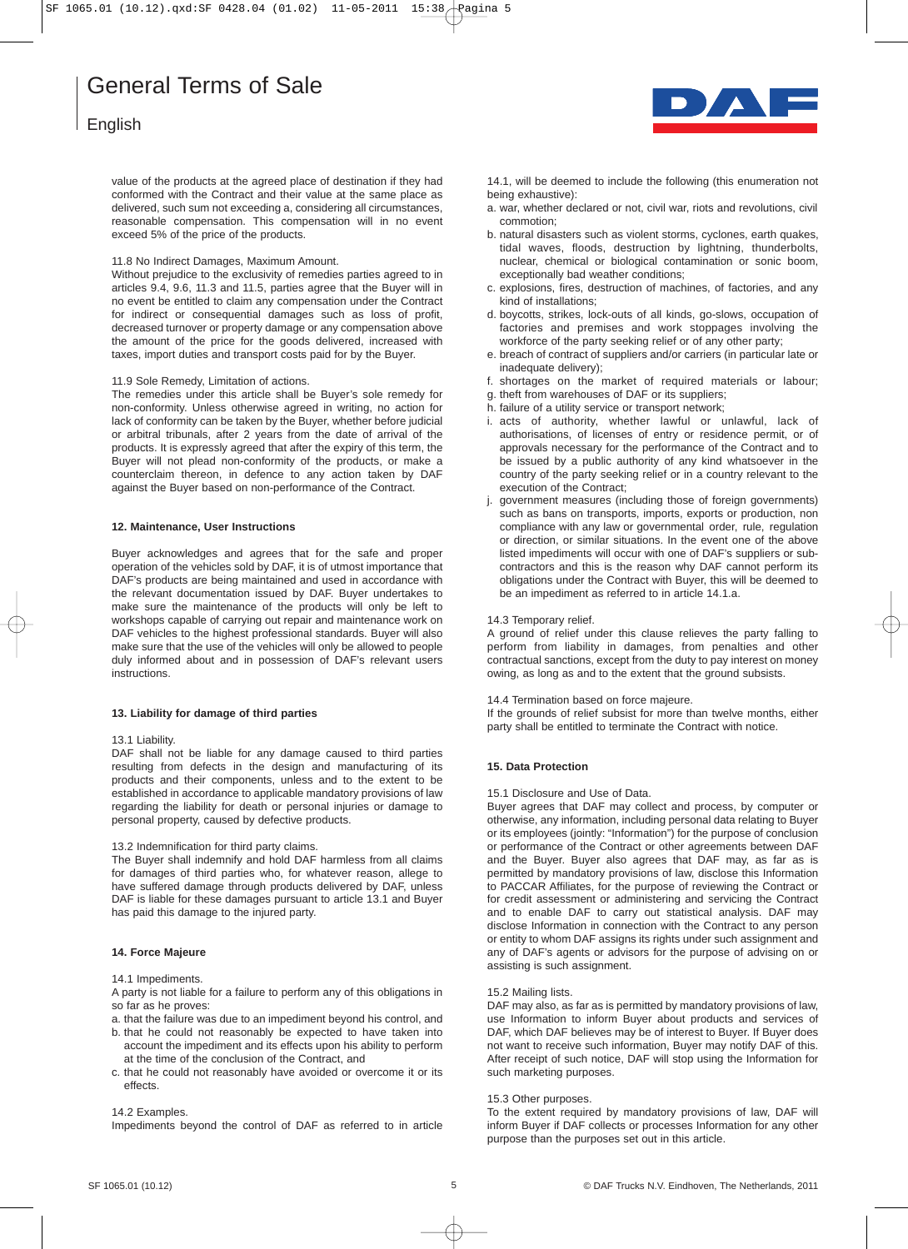# English

value of the products at the agreed place of destination if they had conformed with the Contract and their value at the same place as delivered, such sum not exceeding a, considering all circumstances, reasonable compensation. This compensation will in no event exceed 5% of the price of the products.

# 11.8 No Indirect Damages, Maximum Amount.

Without prejudice to the exclusivity of remedies parties agreed to in articles 9.4, 9.6, 11.3 and 11.5, parties agree that the Buyer will in no event be entitled to claim any compensation under the Contract for indirect or consequential damages such as loss of profit, decreased turnover or property damage or any compensation above the amount of the price for the goods delivered, increased with taxes, import duties and transport costs paid for by the Buyer.

### 11.9 Sole Remedy, Limitation of actions.

The remedies under this article shall be Buyer's sole remedy for non-conformity. Unless otherwise agreed in writing, no action for lack of conformity can be taken by the Buyer, whether before judicial or arbitral tribunals, after 2 years from the date of arrival of the products. It is expressly agreed that after the expiry of this term, the Buyer will not plead non-conformity of the products, or make a counterclaim thereon, in defence to any action taken by DAF against the Buyer based on non-performance of the Contract.

# **12. Maintenance, User Instructions**

Buyer acknowledges and agrees that for the safe and proper operation of the vehicles sold by DAF, it is of utmost importance that DAF's products are being maintained and used in accordance with the relevant documentation issued by DAF. Buyer undertakes to make sure the maintenance of the products will only be left to workshops capable of carrying out repair and maintenance work on DAF vehicles to the highest professional standards. Buyer will also make sure that the use of the vehicles will only be allowed to people duly informed about and in possession of DAF's relevant users instructions.

# **13. Liability for damage of third parties**

## 13.1 Liability.

DAF shall not be liable for any damage caused to third parties resulting from defects in the design and manufacturing of its products and their components, unless and to the extent to be established in accordance to applicable mandatory provisions of law regarding the liability for death or personal injuries or damage to personal property, caused by defective products.

## 13.2 Indemnification for third party claims.

The Buyer shall indemnify and hold DAF harmless from all claims for damages of third parties who, for whatever reason, allege to have suffered damage through products delivered by DAF, unless DAF is liable for these damages pursuant to article 13.1 and Buyer has paid this damage to the injured party.

# **14. Force Majeure**

### 14.1 Impediments.

A party is not liable for a failure to perform any of this obligations in so far as he proves:

- a. that the failure was due to an impediment beyond his control, and
- b. that he could not reasonably be expected to have taken into account the impediment and its effects upon his ability to perform at the time of the conclusion of the Contract, and
- c. that he could not reasonably have avoided or overcome it or its effects.

### 14.2 Examples.

Impediments beyond the control of DAF as referred to in article



14.1, will be deemed to include the following (this enumeration not being exhaustive):

- a. war, whether declared or not, civil war, riots and revolutions, civil commotion;
- b. natural disasters such as violent storms, cyclones, earth quakes, tidal waves, floods, destruction by lightning, thunderbolts, nuclear, chemical or biological contamination or sonic boom, exceptionally bad weather conditions;
- c. explosions, fires, destruction of machines, of factories, and any kind of installations;
- d. boycotts, strikes, lock-outs of all kinds, go-slows, occupation of factories and premises and work stoppages involving the workforce of the party seeking relief or of any other party;
- e. breach of contract of suppliers and/or carriers (in particular late or inadequate delivery);
- f. shortages on the market of required materials or labour;
- g. theft from warehouses of DAF or its suppliers;
- h. failure of a utility service or transport network;
- i. acts of authority, whether lawful or unlawful, lack of authorisations, of licenses of entry or residence permit, or of approvals necessary for the performance of the Contract and to be issued by a public authority of any kind whatsoever in the country of the party seeking relief or in a country relevant to the execution of the Contract;
- j. government measures (including those of foreign governments) such as bans on transports, imports, exports or production, non compliance with any law or governmental order, rule, regulation or direction, or similar situations. In the event one of the above listed impediments will occur with one of DAF's suppliers or subcontractors and this is the reason why DAF cannot perform its obligations under the Contract with Buyer, this will be deemed to be an impediment as referred to in article 14.1.a.

### 14.3 Temporary relief.

A ground of relief under this clause relieves the party falling to perform from liability in damages, from penalties and other contractual sanctions, except from the duty to pay interest on money owing, as long as and to the extent that the ground subsists.

14.4 Termination based on force majeure.

If the grounds of relief subsist for more than twelve months, either party shall be entitled to terminate the Contract with notice.

# **15. Data Protection**

# 15.1 Disclosure and Use of Data.

Buyer agrees that DAF may collect and process, by computer or otherwise, any information, including personal data relating to Buyer or its employees (jointly: "Information") for the purpose of conclusion or performance of the Contract or other agreements between DAF and the Buyer. Buyer also agrees that DAF may, as far as is permitted by mandatory provisions of law, disclose this Information to PACCAR Affiliates, for the purpose of reviewing the Contract or for credit assessment or administering and servicing the Contract and to enable DAF to carry out statistical analysis. DAF may disclose Information in connection with the Contract to any person or entity to whom DAF assigns its rights under such assignment and any of DAF's agents or advisors for the purpose of advising on or assisting is such assignment.

### 15.2 Mailing lists.

DAF may also, as far as is permitted by mandatory provisions of law, use Information to inform Buyer about products and services of DAF, which DAF believes may be of interest to Buyer. If Buyer does not want to receive such information, Buyer may notify DAF of this. After receipt of such notice, DAF will stop using the Information for such marketing purposes.

### 15.3 Other purposes.

To the extent required by mandatory provisions of law, DAF will inform Buyer if DAF collects or processes Information for any other purpose than the purposes set out in this article.